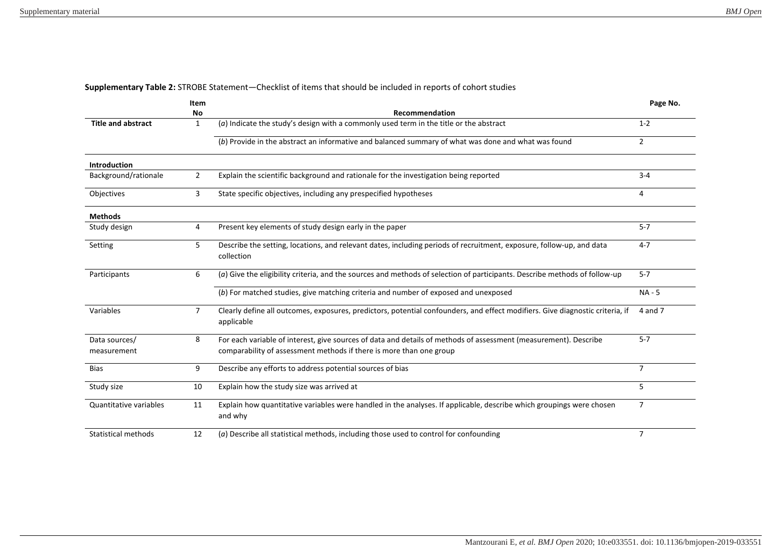|  | Supplementary Table 2: STROBE Statement-Checklist of items that should be included in reports of cohort studies |  |  |  |
|--|-----------------------------------------------------------------------------------------------------------------|--|--|--|
|--|-----------------------------------------------------------------------------------------------------------------|--|--|--|

|                            | Item           |                                                                                                                                             | Page No.       |
|----------------------------|----------------|---------------------------------------------------------------------------------------------------------------------------------------------|----------------|
|                            | No             | Recommendation                                                                                                                              |                |
| <b>Title and abstract</b>  | 1              | $(a)$ Indicate the study's design with a commonly used term in the title or the abstract                                                    | $1 - 2$        |
|                            |                | (b) Provide in the abstract an informative and balanced summary of what was done and what was found                                         | $\overline{2}$ |
| Introduction               |                |                                                                                                                                             |                |
| Background/rationale       | $\overline{2}$ | Explain the scientific background and rationale for the investigation being reported                                                        |                |
| Objectives                 | 3              | State specific objectives, including any prespecified hypotheses                                                                            |                |
| <b>Methods</b>             |                |                                                                                                                                             |                |
| Study design               | 4              | Present key elements of study design early in the paper                                                                                     | $5 - 7$        |
| Setting                    | 5              | Describe the setting, locations, and relevant dates, including periods of recruitment, exposure, follow-up, and data<br>collection          | $4 - 7$        |
| Participants               | 6              | (a) Give the eligibility criteria, and the sources and methods of selection of participants. Describe methods of follow-up                  | $5 - 7$        |
|                            |                | (b) For matched studies, give matching criteria and number of exposed and unexposed                                                         | $NA - 5$       |
| Variables                  | $\overline{7}$ | Clearly define all outcomes, exposures, predictors, potential confounders, and effect modifiers. Give diagnostic criteria, if<br>applicable | 4 and 7        |
| Data sources/              | 8              | For each variable of interest, give sources of data and details of methods of assessment (measurement). Describe                            | $5 - 7$        |
| measurement                |                | comparability of assessment methods if there is more than one group                                                                         |                |
| <b>Bias</b>                | 9              | Describe any efforts to address potential sources of bias                                                                                   | $\overline{7}$ |
| Study size                 | 10             | Explain how the study size was arrived at                                                                                                   | 5              |
| Quantitative variables     | 11             | Explain how quantitative variables were handled in the analyses. If applicable, describe which groupings were chosen<br>and why             | $\overline{7}$ |
| <b>Statistical methods</b> | 12             | (a) Describe all statistical methods, including those used to control for confounding                                                       | $\overline{7}$ |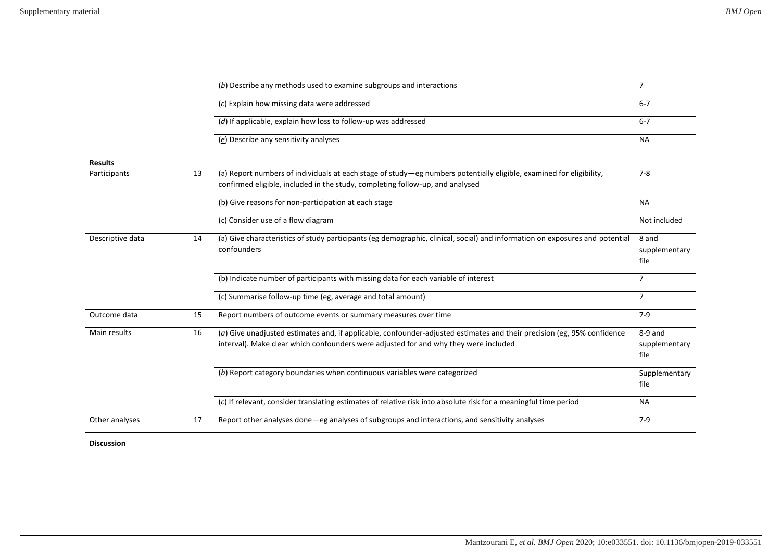|                  |    | (b) Describe any methods used to examine subgroups and interactions                                                                                                                                             | $\overline{7}$                     |
|------------------|----|-----------------------------------------------------------------------------------------------------------------------------------------------------------------------------------------------------------------|------------------------------------|
|                  |    | (c) Explain how missing data were addressed                                                                                                                                                                     | $6 - 7$                            |
|                  |    | (d) If applicable, explain how loss to follow-up was addressed                                                                                                                                                  | $6 - 7$                            |
|                  |    | (e) Describe any sensitivity analyses                                                                                                                                                                           | <b>NA</b>                          |
| <b>Results</b>   |    |                                                                                                                                                                                                                 |                                    |
| Participants     | 13 | (a) Report numbers of individuals at each stage of study-eg numbers potentially eligible, examined for eligibility,<br>confirmed eligible, included in the study, completing follow-up, and analysed            | $7 - 8$                            |
|                  |    | (b) Give reasons for non-participation at each stage                                                                                                                                                            | <b>NA</b>                          |
|                  |    | (c) Consider use of a flow diagram                                                                                                                                                                              | Not included                       |
| Descriptive data | 14 | (a) Give characteristics of study participants (eg demographic, clinical, social) and information on exposures and potential<br>confounders                                                                     | 8 and<br>supplementary<br>file     |
|                  |    | (b) Indicate number of participants with missing data for each variable of interest                                                                                                                             | $\overline{7}$                     |
|                  |    | (c) Summarise follow-up time (eg, average and total amount)                                                                                                                                                     | $\overline{7}$                     |
| Outcome data     | 15 | Report numbers of outcome events or summary measures over time                                                                                                                                                  | $7-9$                              |
| Main results     | 16 | (a) Give unadjusted estimates and, if applicable, confounder-adjusted estimates and their precision (eg, 95% confidence<br>interval). Make clear which confounders were adjusted for and why they were included | $8-9$ and<br>supplementary<br>file |
|                  |    | (b) Report category boundaries when continuous variables were categorized                                                                                                                                       | Supplementary<br>file              |
|                  |    | (c) If relevant, consider translating estimates of relative risk into absolute risk for a meaningful time period                                                                                                | <b>NA</b>                          |
| Other analyses   | 17 | Report other analyses done—eg analyses of subgroups and interactions, and sensitivity analyses                                                                                                                  | $7-9$                              |

**Discussion**